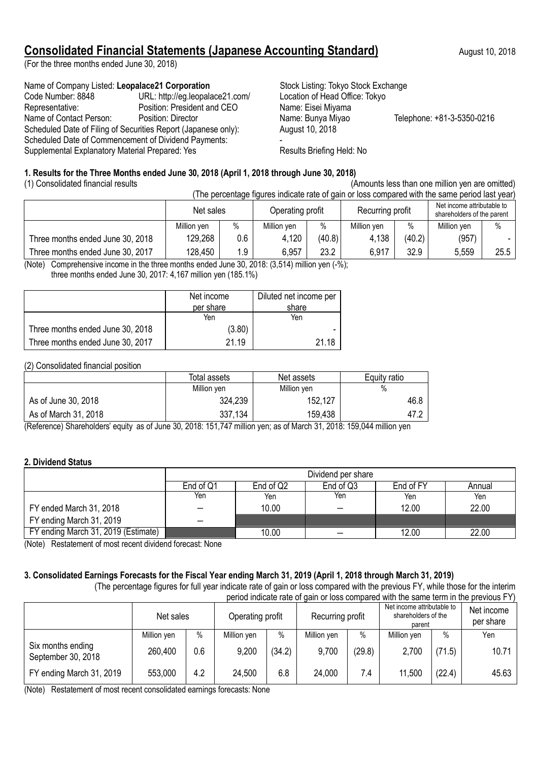## **Consolidated Financial Statements (Japanese Accounting Standard)** August 10, 2018

(For the three months ended June 30, 2018)

Name of Company Listed: Leopalace21 Corporation Stock Listing: Tokyo Stock Exchange Code Number: 8848 URL: http://eg.leopalace21.com/ Location of Head Office: Tokyo Representative: Position: President and CEO Name: Eisei Miyama Name of Contact Person: Position: Director Name: Bunya Miyao Telephone: +81-3-5350-0216 Scheduled Date of Filing of Securities Report (Japanese only): August 10, 2018 Scheduled Date of Commencement of Dividend Payments: Supplemental Explanatory Material Prepared: Yes Results Briefing Held: No

### **1. Results for the Three Months ended June 30, 2018 (April 1, 2018 through June 30, 2018)**

(1) Consolidated financial results

| (Amounts less than one million yen are omitted |  |
|------------------------------------------------|--|
|------------------------------------------------|--|

| $\mu$ and and not and not an immediate of the control $\mu$ |                                                                                                |                               |      |                  |        |                                                          |               |             |      |
|-------------------------------------------------------------|------------------------------------------------------------------------------------------------|-------------------------------|------|------------------|--------|----------------------------------------------------------|---------------|-------------|------|
|                                                             | (The percentage figures indicate rate of gain or loss compared with the same period last year) |                               |      |                  |        |                                                          |               |             |      |
|                                                             |                                                                                                | Net sales<br>Operating profit |      | Recurring profit |        | Net income attributable to<br>shareholders of the parent |               |             |      |
|                                                             |                                                                                                | Million ven                   | $\%$ | Million ven      | %      | Million yen                                              | $\frac{0}{0}$ | Million ven | $\%$ |
|                                                             | Three months ended June 30, 2018                                                               | 129,268                       | 0.6  | 4,120            | (40.8) | 4.138                                                    | (40.2)        | (957)       |      |
|                                                             | Three months ended June 30, 2017                                                               | 128,450                       | 1.9  | 6,957            | 23.2   | 6,917                                                    | 32.9          | 5,559       | 25.5 |

(Note) Comprehensive income in the three months ended June 30, 2018: (3,514) million yen (-%); three months ended June 30, 2017: 4,167 million yen (185.1%)

|                                  | Diluted net income per<br>Net income<br>per share<br>share |       |
|----------------------------------|------------------------------------------------------------|-------|
|                                  | Yen                                                        | Yen   |
| Three months ended June 30, 2018 | (3.80)                                                     |       |
| Three months ended June 30, 2017 | 21.19                                                      | 21 18 |

(2) Consolidated financial position

|                      | Total assets | Net assets  | Equity ratio |
|----------------------|--------------|-------------|--------------|
|                      | Million yen  | Million yen | $\%$         |
| As of June 30, 2018  | 324,239      | 152,127     | 46.8         |
| As of March 31, 2018 | 337,134      | 159,438     | 47.2         |

(Reference) Shareholders' equity as of June 30, 2018: 151,747 million yen; as of March 31, 2018: 159,044 million yen

## **2. Dividend Status**

|                                     | Dividend per share |                                               |     |       |       |  |  |  |  |
|-------------------------------------|--------------------|-----------------------------------------------|-----|-------|-------|--|--|--|--|
|                                     | End of Q1          | End of FY<br>End of Q2<br>End of Q3<br>Annual |     |       |       |  |  |  |  |
|                                     | Yen                | Yen                                           | Yen | Yen   | Yen   |  |  |  |  |
| FY ended March 31, 2018             |                    | 10.00                                         |     | 12.00 | 22.00 |  |  |  |  |
| FY ending March 31, 2019            |                    |                                               |     |       |       |  |  |  |  |
| FY ending March 31, 2019 (Estimate) |                    | 10.00                                         |     | 12.00 | 22.00 |  |  |  |  |

(Note) Restatement of most recent dividend forecast: None

### **3. Consolidated Earnings Forecasts for the Fiscal Year ending March 31, 2019 (April 1, 2018 through March 31, 2019)**

(The percentage figures for full year indicate rate of gain or loss compared with the previous FY, while those for the interim period indicate rate of gain or loss compared with the same term in the previous FY)

|                                         | <u>DONO INQUAD TANO OF GANT OF ROO OON DATUO GIN INTO OAN O NON IN IN DIO BIO HOUD.</u> |      |                  |        |             |        |                  |        |                                                             |  |                         |
|-----------------------------------------|-----------------------------------------------------------------------------------------|------|------------------|--------|-------------|--------|------------------|--------|-------------------------------------------------------------|--|-------------------------|
|                                         | Net sales                                                                               |      | Operating profit |        |             |        | Recurring profit |        | Net income attributable to<br>shareholders of the<br>parent |  | Net income<br>per share |
|                                         | Million yen                                                                             | $\%$ | Million yen      | $\%$   | Million yen | $\%$   | Million yen      | $\%$   | Yen                                                         |  |                         |
| Six months ending<br>September 30, 2018 | 260,400                                                                                 | 0.6  | 9,200            | (34.2) | 9,700       | (29.8) | 2,700            | (71.5) | 10.71                                                       |  |                         |
| FY ending March 31, 2019                | 553,000                                                                                 | 4.2  | 24,500           | 6.8    | 24,000      | 7.4    | 11,500           | (22.4) | 45.63                                                       |  |                         |

(Note) Restatement of most recent consolidated earnings forecasts: None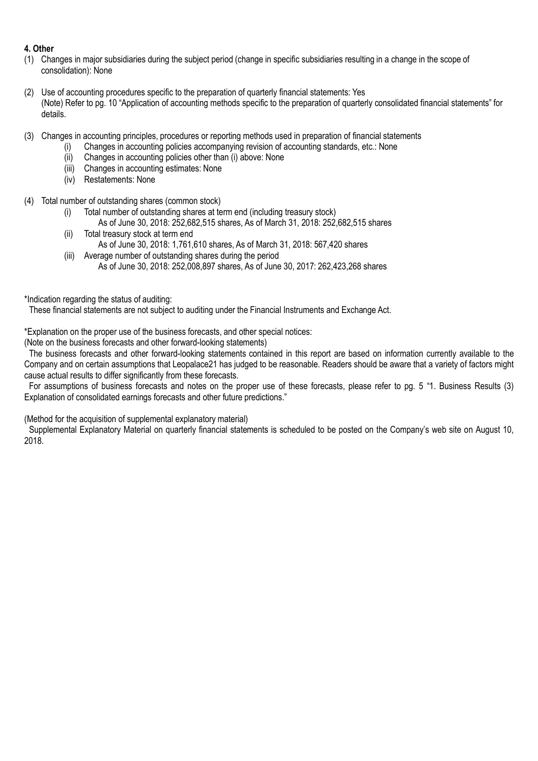### **4. Other**

- (1) Changes in major subsidiaries during the subject period (change in specific subsidiaries resulting in a change in the scope of consolidation): None
- (2) Use of accounting procedures specific to the preparation of quarterly financial statements: Yes (Note) Refer to pg. 10 "Application of accounting methods specific to the preparation of quarterly consolidated financial statements" for details.
- (3) Changes in accounting principles, procedures or reporting methods used in preparation of financial statements
	- (i) Changes in accounting policies accompanying revision of accounting standards, etc.: None
		- (ii) Changes in accounting policies other than (i) above: None
		- (iii) Changes in accounting estimates: None
		- (iv) Restatements: None
- (4) Total number of outstanding shares (common stock)
	- (i) Total number of outstanding shares at term end (including treasury stock)
	- As of June 30, 2018: 252,682,515 shares, As of March 31, 2018: 252,682,515 shares (ii) Total treasury stock at term end
	- As of June 30, 2018: 1,761,610 shares, As of March 31, 2018: 567,420 shares
	- (iii) Average number of outstanding shares during the period As of June 30, 2018: 252,008,897 shares, As of June 30, 2017: 262,423,268 shares

\*Indication regarding the status of auditing:

These financial statements are not subject to auditing under the Financial Instruments and Exchange Act.

\*Explanation on the proper use of the business forecasts, and other special notices:

(Note on the business forecasts and other forward-looking statements)

The business forecasts and other forward-looking statements contained in this report are based on information currently available to the Company and on certain assumptions that Leopalace21 has judged to be reasonable. Readers should be aware that a variety of factors might cause actual results to differ significantly from these forecasts.

For assumptions of business forecasts and notes on the proper use of these forecasts, please refer to pg. 5 "1. Business Results (3) Explanation of consolidated earnings forecasts and other future predictions."

(Method for the acquisition of supplemental explanatory material)

Supplemental Explanatory Material on quarterly financial statements is scheduled to be posted on the Company's web site on August 10, 2018.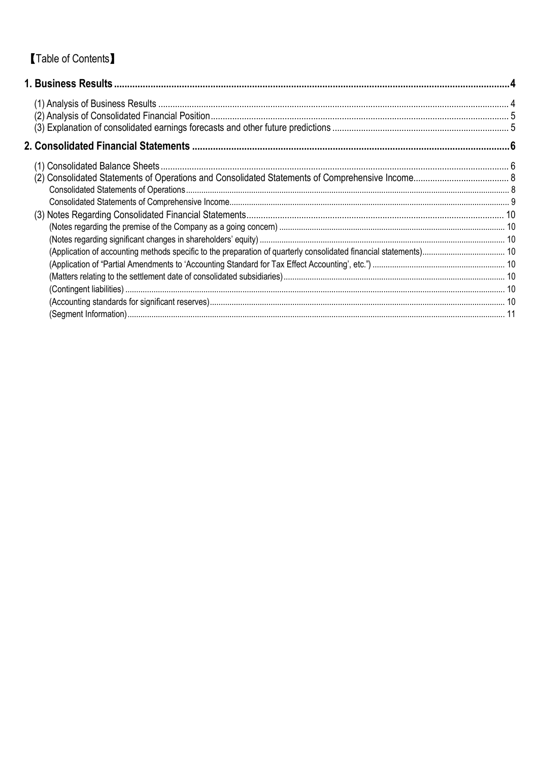# **Table of Contents**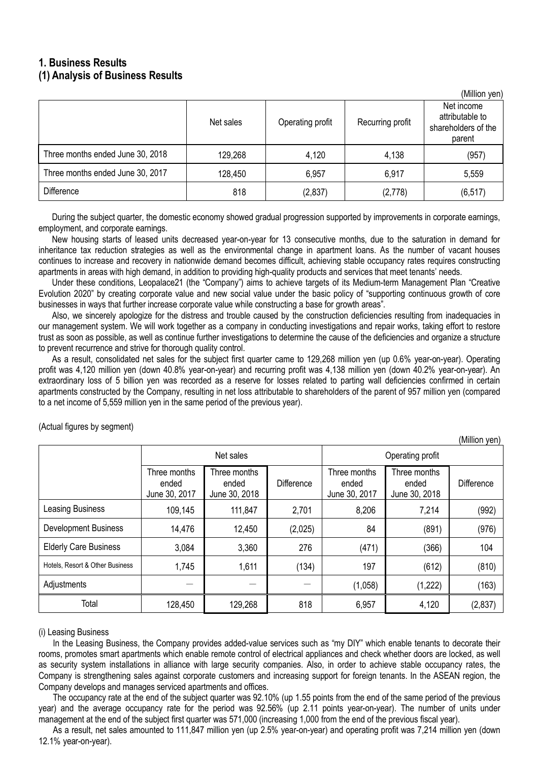## **1. Business Results (1) Analysis of Business Results**

|                                  |           |                  |                  | ן וישע וועווווען (                                             |
|----------------------------------|-----------|------------------|------------------|----------------------------------------------------------------|
|                                  | Net sales | Operating profit | Recurring profit | Net income<br>attributable to<br>shareholders of the<br>parent |
| Three months ended June 30, 2018 | 129,268   | 4,120            | 4,138            | (957)                                                          |
| Three months ended June 30, 2017 | 128,450   | 6,957            | 6.917            | 5,559                                                          |
| <b>Difference</b>                | 818       | (2, 837)         | (2,778)          | (6, 517)                                                       |

 $(Millian$   $van$ 

 $(M)$ llion  $(on)$ 

During the subject quarter, the domestic economy showed gradual progression supported by improvements in corporate earnings, employment, and corporate earnings.

New housing starts of leased units decreased year-on-year for 13 consecutive months, due to the saturation in demand for inheritance tax reduction strategies as well as the environmental change in apartment loans. As the number of vacant houses continues to increase and recovery in nationwide demand becomes difficult, achieving stable occupancy rates requires constructing apartments in areas with high demand, in addition to providing high-quality products and services that meet tenants' needs.

Under these conditions, Leopalace21 (the "Company") aims to achieve targets of its Medium-term Management Plan "Creative Evolution 2020" by creating corporate value and new social value under the basic policy of "supporting continuous growth of core businesses in ways that further increase corporate value while constructing a base for growth areas".

Also, we sincerely apologize for the distress and trouble caused by the construction deficiencies resulting from inadequacies in our management system. We will work together as a company in conducting investigations and repair works, taking effort to restore trust as soon as possible, as well as continue further investigations to determine the cause of the deficiencies and organize a structure to prevent recurrence and strive for thorough quality control.

As a result, consolidated net sales for the subject first quarter came to 129,268 million yen (up 0.6% year-on-year). Operating profit was 4,120 million yen (down 40.8% year-on-year) and recurring profit was 4,138 million yen (down 40.2% year-on-year). An extraordinary loss of 5 billion yen was recorded as a reserve for losses related to parting wall deficiencies confirmed in certain apartments constructed by the Company, resulting in net loss attributable to shareholders of the parent of 957 million yen (compared to a net income of 5,559 million yen in the same period of the previous year).

|                                 |                                        |                                        |                   |                                        |                                        | ווישע וועווווען)  |  |
|---------------------------------|----------------------------------------|----------------------------------------|-------------------|----------------------------------------|----------------------------------------|-------------------|--|
|                                 |                                        | Net sales                              |                   | Operating profit                       |                                        |                   |  |
|                                 | Three months<br>ended<br>June 30, 2017 | Three months<br>ended<br>June 30, 2018 | <b>Difference</b> | Three months<br>ended<br>June 30, 2017 | Three months<br>ended<br>June 30, 2018 | <b>Difference</b> |  |
| Leasing Business                | 109,145                                | 111,847                                | 2,701             | 8,206                                  | 7,214                                  | (992)             |  |
| <b>Development Business</b>     | 14,476                                 | 12,450                                 | (2,025)           | 84                                     | (891)                                  | (976)             |  |
| <b>Elderly Care Business</b>    | 3,084                                  | 3,360                                  | 276               | (471)                                  | (366)                                  | 104               |  |
| Hotels, Resort & Other Business | 1,745                                  | 1,611                                  | (134)             | 197                                    | (612)                                  | (810)             |  |
| Adjustments                     |                                        |                                        |                   | (1,058)                                | (1,222)                                | (163)             |  |
| Total                           | 128,450                                | 129,268                                | 818               | 6,957                                  | 4,120                                  | (2, 837)          |  |

(Actual figures by segment)

(i) Leasing Business

In the Leasing Business, the Company provides added-value services such as "my DIY" which enable tenants to decorate their rooms, promotes smart apartments which enable remote control of electrical appliances and check whether doors are locked, as well as security system installations in alliance with large security companies. Also, in order to achieve stable occupancy rates, the Company is strengthening sales against corporate customers and increasing support for foreign tenants. In the ASEAN region, the Company develops and manages serviced apartments and offices.

The occupancy rate at the end of the subject quarter was 92.10% (up 1.55 points from the end of the same period of the previous year) and the average occupancy rate for the period was 92.56% (up 2.11 points year-on-year). The number of units under management at the end of the subject first quarter was 571,000 (increasing 1,000 from the end of the previous fiscal year).

As a result, net sales amounted to 111,847 million yen (up 2.5% year-on-year) and operating profit was 7,214 million yen (down 12.1% year-on-year).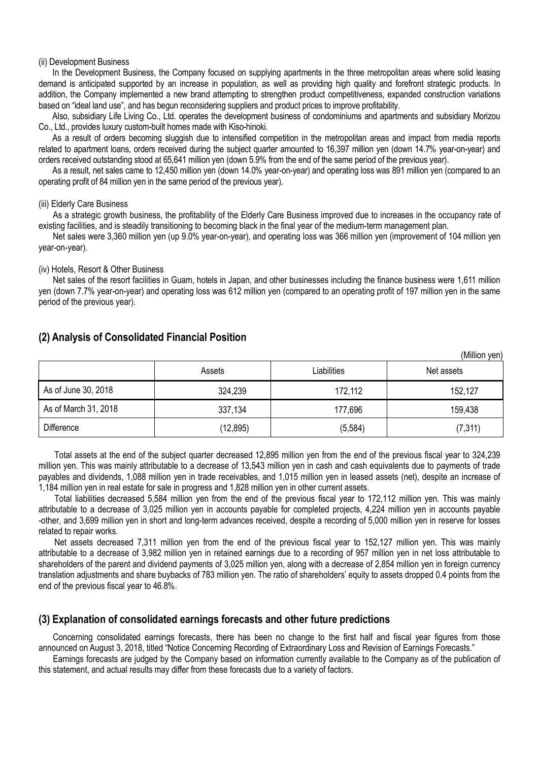#### (ii) Development Business

In the Development Business, the Company focused on supplying apartments in the three metropolitan areas where solid leasing demand is anticipated supported by an increase in population, as well as providing high quality and forefront strategic products. In addition, the Company implemented a new brand attempting to strengthen product competitiveness, expanded construction variations based on "ideal land use", and has begun reconsidering suppliers and product prices to improve profitability.

Also, subsidiary Life Living Co., Ltd. operates the development business of condominiums and apartments and subsidiary Morizou Co., Ltd., provides luxury custom-built homes made with Kiso-hinoki.

As a result of orders becoming sluggish due to intensified competition in the metropolitan areas and impact from media reports related to apartment loans, orders received during the subject quarter amounted to 16,397 million yen (down 14.7% year-on-year) and orders received outstanding stood at 65,641 million yen (down 5.9% from the end of the same period of the previous year).

As a result, net sales came to 12,450 million yen (down 14.0% year-on-year) and operating loss was 891 million yen (compared to an operating profit of 84 million yen in the same period of the previous year).

#### (iii) Elderly Care Business

As a strategic growth business, the profitability of the Elderly Care Business improved due to increases in the occupancy rate of existing facilities, and is steadily transitioning to becoming black in the final year of the medium-term management plan.

Net sales were 3,360 million yen (up 9.0% year-on-year), and operating loss was 366 million yen (improvement of 104 million yen year-on-year).

#### (iv) Hotels, Resort & Other Business

Net sales of the resort facilities in Guam, hotels in Japan, and other businesses including the finance business were 1,611 million yen (down 7.7% year-on-year) and operating loss was 612 million yen (compared to an operating profit of 197 million yen in the same period of the previous year).

|                      | Assets    | Liabilities | Net assets |
|----------------------|-----------|-------------|------------|
| As of June 30, 2018  | 324,239   | 172,112     | 152,127    |
| As of March 31, 2018 | 337,134   | 177,696     | 159,438    |
| <b>Difference</b>    | (12, 895) | (5, 584)    | (7, 311)   |

(Million yen)

### **(2) Analysis of Consolidated Financial Position**

Total assets at the end of the subject quarter decreased 12,895 million yen from the end of the previous fiscal year to 324,239 million yen. This was mainly attributable to a decrease of 13,543 million yen in cash and cash equivalents due to payments of trade payables and dividends, 1,088 million yen in trade receivables, and 1,015 million yen in leased assets (net), despite an increase of 1,184 million yen in real estate for sale in progress and 1,828 million yen in other current assets.

Total liabilities decreased 5,584 million yen from the end of the previous fiscal year to 172,112 million yen. This was mainly attributable to a decrease of 3,025 million yen in accounts payable for completed projects, 4,224 million yen in accounts payable -other, and 3,699 million yen in short and long-term advances received, despite a recording of 5,000 million yen in reserve for losses related to repair works.

Net assets decreased 7,311 million yen from the end of the previous fiscal year to 152,127 million yen. This was mainly attributable to a decrease of 3,982 million yen in retained earnings due to a recording of 957 million yen in net loss attributable to shareholders of the parent and dividend payments of 3,025 million yen, along with a decrease of 2,854 million yen in foreign currency translation adjustments and share buybacks of 783 million yen. The ratio of shareholders' equity to assets dropped 0.4 points from the end of the previous fiscal year to 46.8%.

### **(3) Explanation of consolidated earnings forecasts and other future predictions**

Concerning consolidated earnings forecasts, there has been no change to the first half and fiscal year figures from those announced on August 3, 2018, titled "Notice Concerning Recording of Extraordinary Loss and Revision of Earnings Forecasts."

Earnings forecasts are judged by the Company based on information currently available to the Company as of the publication of this statement, and actual results may differ from these forecasts due to a variety of factors.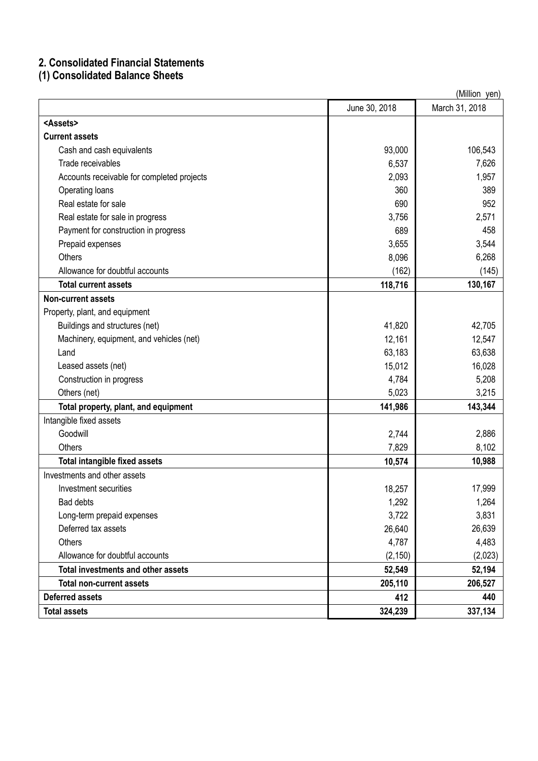## **2. Consolidated Financial Statements**

**(1) Consolidated Balance Sheets**

|                                            | (Million yen) |                |  |  |  |
|--------------------------------------------|---------------|----------------|--|--|--|
|                                            | June 30, 2018 | March 31, 2018 |  |  |  |
| <assets></assets>                          |               |                |  |  |  |
| <b>Current assets</b>                      |               |                |  |  |  |
| Cash and cash equivalents                  | 93,000        | 106,543        |  |  |  |
| Trade receivables                          | 6,537         | 7,626          |  |  |  |
| Accounts receivable for completed projects | 2,093         | 1,957          |  |  |  |
| Operating loans                            | 360           | 389            |  |  |  |
| Real estate for sale                       | 690           | 952            |  |  |  |
| Real estate for sale in progress           | 3,756         | 2,571          |  |  |  |
| Payment for construction in progress       | 689           | 458            |  |  |  |
| Prepaid expenses                           | 3,655         | 3,544          |  |  |  |
| <b>Others</b>                              | 8,096         | 6,268          |  |  |  |
| Allowance for doubtful accounts            | (162)         | (145)          |  |  |  |
| <b>Total current assets</b>                | 118,716       | 130,167        |  |  |  |
| <b>Non-current assets</b>                  |               |                |  |  |  |
| Property, plant, and equipment             |               |                |  |  |  |
| Buildings and structures (net)             | 41,820        | 42,705         |  |  |  |
| Machinery, equipment, and vehicles (net)   | 12,161        | 12,547         |  |  |  |
| Land                                       | 63,183        | 63,638         |  |  |  |
| Leased assets (net)                        | 15,012        | 16,028         |  |  |  |
| Construction in progress                   | 4,784         | 5,208          |  |  |  |
| Others (net)                               | 5,023         | 3,215          |  |  |  |
| Total property, plant, and equipment       | 141,986       | 143,344        |  |  |  |
| Intangible fixed assets                    |               |                |  |  |  |
| Goodwill                                   | 2,744         | 2,886          |  |  |  |
| <b>Others</b>                              | 7,829         | 8,102          |  |  |  |
| <b>Total intangible fixed assets</b>       | 10,574        | 10,988         |  |  |  |
| Investments and other assets               |               |                |  |  |  |
| Investment securities                      | 18,257        | 17,999         |  |  |  |
| Bad debts                                  | 1,292         | 1,264          |  |  |  |
| Long-term prepaid expenses                 | 3,722         | 3,831          |  |  |  |
| Deferred tax assets                        | 26,640        | 26,639         |  |  |  |
| <b>Others</b>                              | 4,787         | 4,483          |  |  |  |
| Allowance for doubtful accounts            | (2, 150)      | (2,023)        |  |  |  |
| <b>Total investments and other assets</b>  | 52,549        | 52,194         |  |  |  |
| <b>Total non-current assets</b>            | 205,110       | 206,527        |  |  |  |
| <b>Deferred assets</b>                     | 412           | 440            |  |  |  |
| <b>Total assets</b>                        | 324,239       | 337,134        |  |  |  |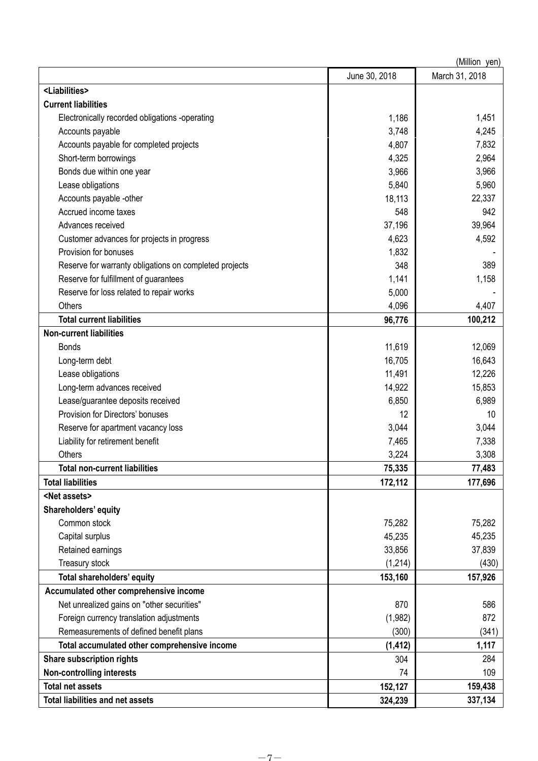|                                                        |               | (Million yen)  |
|--------------------------------------------------------|---------------|----------------|
|                                                        | June 30, 2018 | March 31, 2018 |
| <liabilities></liabilities>                            |               |                |
| <b>Current liabilities</b>                             |               |                |
| Electronically recorded obligations -operating         | 1,186         | 1,451          |
| Accounts payable                                       | 3,748         | 4,245          |
| Accounts payable for completed projects                | 4,807         | 7,832          |
| Short-term borrowings                                  | 4,325         | 2,964          |
| Bonds due within one year                              | 3,966         | 3,966          |
| Lease obligations                                      | 5,840         | 5,960          |
| Accounts payable -other                                | 18,113        | 22,337         |
| Accrued income taxes                                   | 548           | 942            |
| Advances received                                      | 37,196        | 39,964         |
| Customer advances for projects in progress             | 4,623         | 4,592          |
| Provision for bonuses                                  | 1,832         |                |
| Reserve for warranty obligations on completed projects | 348           | 389            |
| Reserve for fulfillment of guarantees                  | 1,141         | 1,158          |
| Reserve for loss related to repair works               | 5,000         |                |
| Others                                                 | 4,096         | 4,407          |
| <b>Total current liabilities</b>                       | 96,776        | 100,212        |
| <b>Non-current liabilities</b>                         |               |                |
| <b>Bonds</b>                                           | 11,619        | 12,069         |
| Long-term debt                                         | 16,705        | 16,643         |
| Lease obligations                                      | 11,491        | 12,226         |
| Long-term advances received                            | 14,922        | 15,853         |
| Lease/guarantee deposits received                      | 6,850         | 6,989          |
| Provision for Directors' bonuses                       | 12            | 10             |
| Reserve for apartment vacancy loss                     | 3,044         | 3,044          |
| Liability for retirement benefit                       | 7,465         | 7,338          |
| Others                                                 | 3,224         | 3,308          |
| <b>Total non-current liabilities</b>                   | 75,335        | 77,483         |
| <b>Total liabilities</b>                               | 172,112       | 177,696        |
| <net assets=""></net>                                  |               |                |
| Shareholders' equity                                   |               |                |
| Common stock                                           | 75,282        | 75,282         |
| Capital surplus                                        | 45,235        | 45,235         |
| Retained earnings                                      | 33,856        | 37,839         |
| Treasury stock                                         | (1, 214)      | (430)          |
| Total shareholders' equity                             | 153,160       | 157,926        |
| Accumulated other comprehensive income                 |               |                |
| Net unrealized gains on "other securities"             | 870           | 586            |
| Foreign currency translation adjustments               | (1,982)       | 872            |
| Remeasurements of defined benefit plans                | (300)         | (341)          |
| Total accumulated other comprehensive income           | (1, 412)      | 1,117          |
| Share subscription rights                              | 304           | 284            |
| <b>Non-controlling interests</b>                       | 74            | 109            |
| <b>Total net assets</b>                                | 152,127       | 159,438        |
| <b>Total liabilities and net assets</b>                | 324,239       | 337,134        |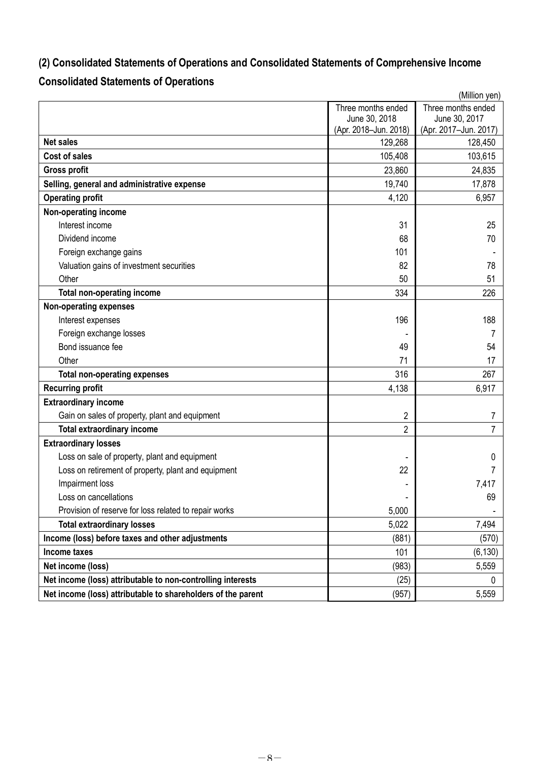# **(2) Consolidated Statements of Operations and Consolidated Statements of Comprehensive Income**

# **Consolidated Statements of Operations**

|                                                              |                       | (Million yen)         |
|--------------------------------------------------------------|-----------------------|-----------------------|
|                                                              | Three months ended    | Three months ended    |
|                                                              | June 30, 2018         | June 30, 2017         |
|                                                              | (Apr. 2018-Jun. 2018) | (Apr. 2017-Jun. 2017) |
| <b>Net sales</b>                                             | 129,268               | 128,450               |
| <b>Cost of sales</b>                                         | 105,408               | 103,615               |
| <b>Gross profit</b>                                          | 23,860                | 24,835                |
| Selling, general and administrative expense                  | 19,740                | 17,878                |
| <b>Operating profit</b>                                      | 4,120                 | 6,957                 |
| Non-operating income                                         |                       |                       |
| Interest income                                              | 31                    | 25                    |
| Dividend income                                              | 68                    | 70                    |
| Foreign exchange gains                                       | 101                   |                       |
| Valuation gains of investment securities                     | 82                    | 78                    |
| Other                                                        | 50                    | 51                    |
| <b>Total non-operating income</b>                            | 334                   | 226                   |
| <b>Non-operating expenses</b>                                |                       |                       |
| Interest expenses                                            | 196                   | 188                   |
| Foreign exchange losses                                      |                       | 7                     |
| Bond issuance fee                                            | 49                    | 54                    |
| Other                                                        | 71                    | 17                    |
| <b>Total non-operating expenses</b>                          | 316                   | 267                   |
| <b>Recurring profit</b>                                      | 4,138                 | 6,917                 |
| <b>Extraordinary income</b>                                  |                       |                       |
| Gain on sales of property, plant and equipment               | 2                     | 7                     |
| <b>Total extraordinary income</b>                            | $\overline{2}$        | 7                     |
| <b>Extraordinary losses</b>                                  |                       |                       |
| Loss on sale of property, plant and equipment                |                       | 0                     |
| Loss on retirement of property, plant and equipment          | 22                    | 7                     |
| Impairment loss                                              |                       | 7,417                 |
| Loss on cancellations                                        |                       | 69                    |
| Provision of reserve for loss related to repair works        | 5,000                 |                       |
| <b>Total extraordinary losses</b>                            | 5,022                 | 7,494                 |
| Income (loss) before taxes and other adjustments             | (881)                 | (570)                 |
| Income taxes                                                 | 101                   | (6, 130)              |
| Net income (loss)                                            | (983)                 | 5,559                 |
| Net income (loss) attributable to non-controlling interests  | (25)                  | 0                     |
| Net income (loss) attributable to shareholders of the parent | (957)                 | 5,559                 |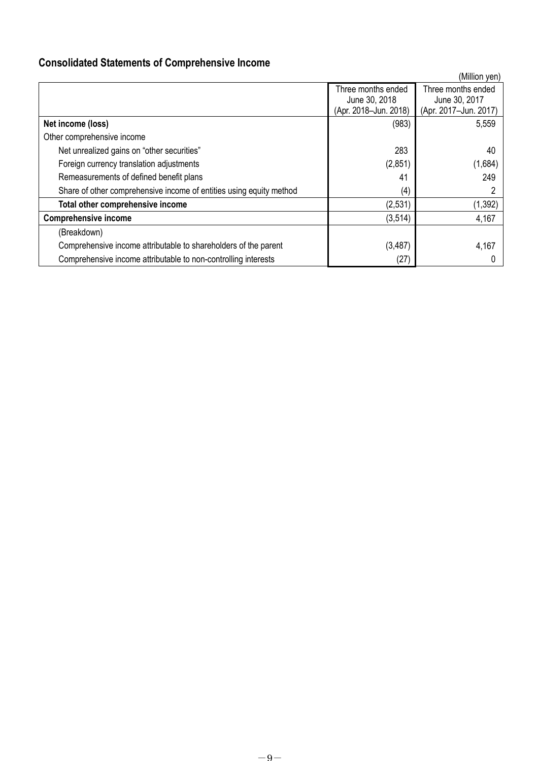# **Consolidated Statements of Comprehensive Income**

|                                                                     |                                                              | (Million yen)                                                |
|---------------------------------------------------------------------|--------------------------------------------------------------|--------------------------------------------------------------|
|                                                                     | Three months ended<br>June 30, 2018<br>(Apr. 2018-Jun. 2018) | Three months ended<br>June 30, 2017<br>(Apr. 2017-Jun. 2017) |
| Net income (loss)                                                   | (983)                                                        | 5,559                                                        |
| Other comprehensive income                                          |                                                              |                                                              |
| Net unrealized gains on "other securities"                          | 283                                                          | 40                                                           |
| Foreign currency translation adjustments                            | (2,851)                                                      | (1,684)                                                      |
| Remeasurements of defined benefit plans                             | 41                                                           | 249                                                          |
| Share of other comprehensive income of entities using equity method | (4)                                                          |                                                              |
| Total other comprehensive income                                    | (2,531)                                                      | (1, 392)                                                     |
| <b>Comprehensive income</b>                                         | (3, 514)                                                     | 4,167                                                        |
| (Breakdown)                                                         |                                                              |                                                              |
| Comprehensive income attributable to shareholders of the parent     | (3, 487)                                                     | 4,167                                                        |
| Comprehensive income attributable to non-controlling interests      | (27)                                                         |                                                              |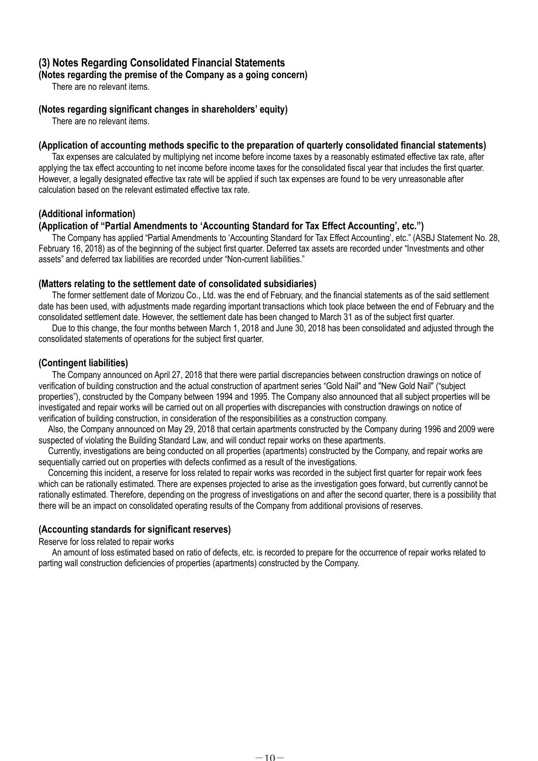## **(3) Notes Regarding Consolidated Financial Statements**

## **(Notes regarding the premise of the Company as a going concern)**

There are no relevant items.

### **(Notes regarding significant changes in shareholders' equity)**

There are no relevant items.

### **(Application of accounting methods specific to the preparation of quarterly consolidated financial statements)**

Tax expenses are calculated by multiplying net income before income taxes by a reasonably estimated effective tax rate, after applying the tax effect accounting to net income before income taxes for the consolidated fiscal year that includes the first quarter. However, a legally designated effective tax rate will be applied if such tax expenses are found to be very unreasonable after calculation based on the relevant estimated effective tax rate.

### **(Additional information)**

### **(Application of "Partial Amendments to 'Accounting Standard for Tax Effect Accounting', etc.")**

The Company has applied "Partial Amendments to 'Accounting Standard for Tax Effect Accounting', etc." (ASBJ Statement No. 28, February 16, 2018) as of the beginning of the subject first quarter. Deferred tax assets are recorded under "Investments and other assets" and deferred tax liabilities are recorded under "Non-current liabilities."

#### **(Matters relating to the settlement date of consolidated subsidiaries)**

The former settlement date of Morizou Co., Ltd. was the end of February, and the financial statements as of the said settlement date has been used, with adjustments made regarding important transactions which took place between the end of February and the consolidated settlement date. However, the settlement date has been changed to March 31 as of the subject first quarter.

Due to this change, the four months between March 1, 2018 and June 30, 2018 has been consolidated and adjusted through the consolidated statements of operations for the subject first quarter.

### **(Contingent liabilities)**

The Company announced on April 27, 2018 that there were partial discrepancies between construction drawings on notice of verification of building construction and the actual construction of apartment series "Gold Nail" and "New Gold Nail" ("subject properties"), constructed by the Company between 1994 and 1995. The Company also announced that all subject properties will be investigated and repair works will be carried out on all properties with discrepancies with construction drawings on notice of verification of building construction, in consideration of the responsibilities as a construction company.

Also, the Company announced on May 29, 2018 that certain apartments constructed by the Company during 1996 and 2009 were suspected of violating the Building Standard Law, and will conduct repair works on these apartments.

Currently, investigations are being conducted on all properties (apartments) constructed by the Company, and repair works are sequentially carried out on properties with defects confirmed as a result of the investigations.

Concerning this incident, a reserve for loss related to repair works was recorded in the subject first quarter for repair work fees which can be rationally estimated. There are expenses projected to arise as the investigation goes forward, but currently cannot be rationally estimated. Therefore, depending on the progress of investigations on and after the second quarter, there is a possibility that there will be an impact on consolidated operating results of the Company from additional provisions of reserves.

### **(Accounting standards for significant reserves)**

Reserve for loss related to repair works

An amount of loss estimated based on ratio of defects, etc. is recorded to prepare for the occurrence of repair works related to parting wall construction deficiencies of properties (apartments) constructed by the Company.